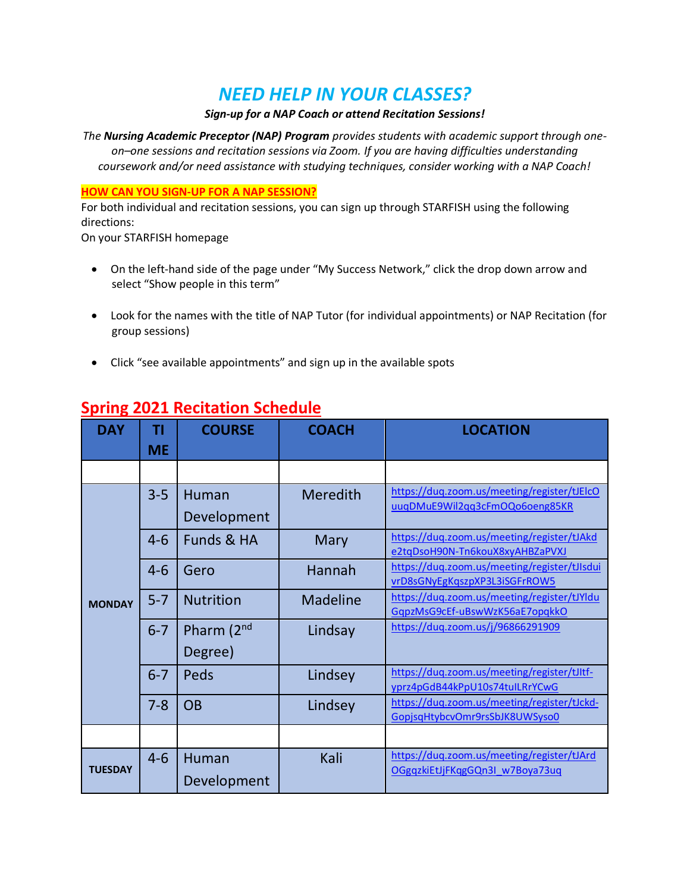# *NEED HELP IN YOUR CLASSES?*

### *Sign-up for a NAP Coach or attend Recitation Sessions!*

*The Nursing Academic Preceptor (NAP) Program provides students with academic support through oneon–one sessions and recitation sessions via Zoom. If you are having difficulties understanding coursework and/or need assistance with studying techniques, consider working with a NAP Coach!* 

### **HOW CAN YOU SIGN-UP FOR A NAP SESSION?**

For both individual and recitation sessions, you can sign up through STARFISH using the following directions:

On your STARFISH homepage

- On the left-hand side of the page under "My Success Network," click the drop down arrow and select "Show people in this term"
- Look for the names with the title of NAP Tutor (for individual appointments) or NAP Recitation (for group sessions)
- Click "see available appointments" and sign up in the available spots

| <b>DAY</b>     | ΤI        | <b>COURSE</b>    | <b>COACH</b>    | <b>LOCATION</b>                                                               |
|----------------|-----------|------------------|-----------------|-------------------------------------------------------------------------------|
|                | <b>ME</b> |                  |                 |                                                                               |
|                |           |                  |                 |                                                                               |
| <b>MONDAY</b>  | $3 - 5$   | Human            | Meredith        | https://duq.zoom.us/meeting/register/tJElcO                                   |
|                |           | Development      |                 | uuqDMuE9Wil2qq3cFmOQo6oeng85KR                                                |
|                | $4 - 6$   | Funds & HA       | Mary            | https://duq.zoom.us/meeting/register/tJAkd<br>e2tqDsoH90N-Tn6kouX8xyAHBZaPVXJ |
|                | $4 - 6$   | Gero             | Hannah          | https://duq.zoom.us/meeting/register/tJIsdui                                  |
|                |           |                  |                 | vrD8sGNyEgKqszpXP3L3iSGFrROW5<br>https://duq.zoom.us/meeting/register/tJYldu  |
|                | $5 - 7$   | <b>Nutrition</b> | <b>Madeline</b> | GqpzMsG9cEf-uBswWzK56aE7opqkkO                                                |
|                | $6 - 7$   | Pharm (2nd       | Lindsay         | https://duq.zoom.us/j/96866291909                                             |
|                |           | Degree)          |                 |                                                                               |
|                | $6 - 7$   | Peds             | Lindsey         | https://duq.zoom.us/meeting/register/tJltf-                                   |
|                |           |                  |                 | yprz4pGdB44kPpU10s74tuILRrYCwG                                                |
|                | $7 - 8$   | <b>OB</b>        | Lindsey         | https://duq.zoom.us/meeting/register/tJckd-                                   |
|                |           |                  |                 | GopjsqHtybcvOmr9rsSbJK8UWSyso0                                                |
|                |           |                  |                 |                                                                               |
|                | $4 - 6$   | Human            | Kali            | https://duq.zoom.us/meeting/register/tJArd                                    |
| <b>TUESDAY</b> |           | Development      |                 | OGgqzkiEtJjFKqgGQn3I w7Boya73uq                                               |

# **Spring 2021 Recitation Schedule**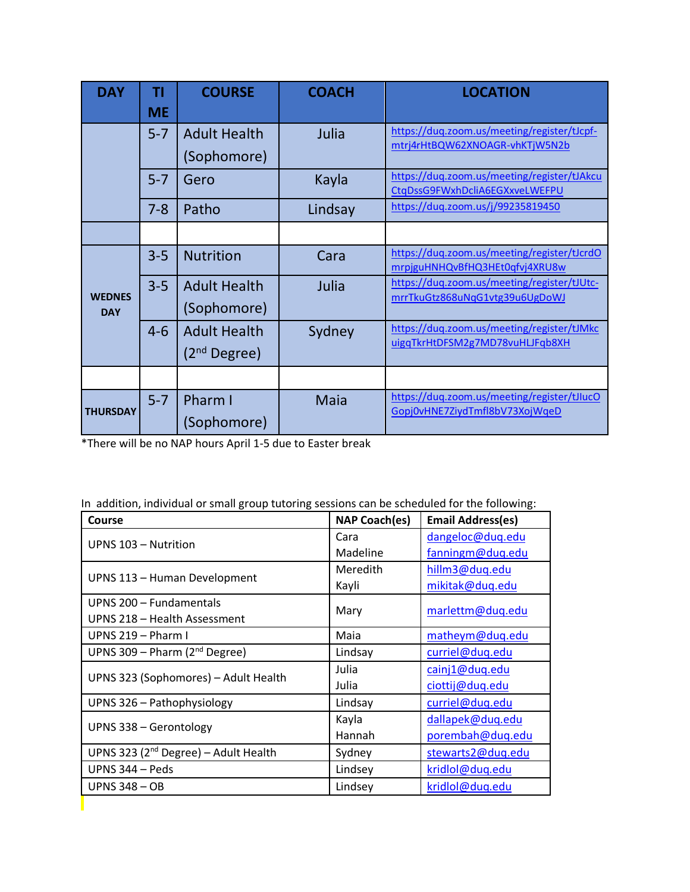| <b>DAY</b>                  | ΤI<br><b>ME</b> | <b>COURSE</b>                         | <b>COACH</b> | <b>LOCATION</b>                                                               |
|-----------------------------|-----------------|---------------------------------------|--------------|-------------------------------------------------------------------------------|
|                             | $5 - 7$         | <b>Adult Health</b><br>(Sophomore)    | Julia        | https://duq.zoom.us/meeting/register/tJcpf-<br>mtrj4rHtBQW62XNOAGR-vhKTjW5N2b |
|                             | $5 - 7$         | Gero                                  | Kayla        | https://duq.zoom.us/meeting/register/tJAkcu<br>CtqDssG9FWxhDcliA6EGXxveLWEFPU |
|                             | $7 - 8$         | Patho                                 | Lindsay      | https://duq.zoom.us/j/99235819450                                             |
|                             |                 |                                       |              |                                                                               |
| <b>WEDNES</b><br><b>DAY</b> | $3 - 5$         | <b>Nutrition</b>                      | Cara         | https://duq.zoom.us/meeting/register/tJcrdO<br>mrpjguHNHQvBfHQ3HEt0qfvj4XRU8w |
|                             | $3 - 5$         | <b>Adult Health</b><br>(Sophomore)    | Julia        | https://duq.zoom.us/meeting/register/tJUtc-<br>mrrTkuGtz868uNqG1vtg39u6UgDoWJ |
|                             | $4 - 6$         | <b>Adult Health</b><br>$(2nd$ Degree) | Sydney       | https://duq.zoom.us/meeting/register/tJMkc<br>uigqTkrHtDFSM2g7MD78vuHLJFqb8XH |
|                             |                 |                                       |              |                                                                               |
| <b>THURSDAY</b>             | $5 - 7$         | Pharm I<br>(Sophomore)                | <b>Maia</b>  | https://duq.zoom.us/meeting/register/tJlucO<br>Gopj0vHNE7ZiydTmfl8bV73XojWqeD |

\*There will be no NAP hours April 1-5 due to Easter break

| Course                                     | <b>NAP Coach(es)</b> | <b>Email Address(es)</b> |  |
|--------------------------------------------|----------------------|--------------------------|--|
| UPNS 103 - Nutrition                       | Cara                 | dangeloc@duq.edu         |  |
|                                            | Madeline             | fanningm@duq.edu         |  |
|                                            | Meredith             | hillm3@duq.edu           |  |
| UPNS 113 - Human Development               | Kayli                | mikitak@duq.edu          |  |
| UPNS 200 - Fundamentals                    |                      | marlettm@duq.edu         |  |
| UPNS 218 - Health Assessment               | Mary                 |                          |  |
| UPNS 219 - Pharm I                         | Maia                 | matheym@duq.edu          |  |
| UPNS 309 – Pharm ( $2nd$ Degree)           | Lindsay              | curriel@duq.edu          |  |
|                                            | Julia                | cainj1@duq.edu           |  |
| UPNS 323 (Sophomores) - Adult Health       | Julia                | ciottij@duq.edu          |  |
| UPNS 326 - Pathophysiology                 | Lindsay              | curriel@duq.edu          |  |
|                                            | Kayla                | dallapek@duq.edu         |  |
| UPNS 338 - Gerontology                     | Hannah               | porembah@duq.edu         |  |
| UPNS 323 ( $2^{nd}$ Degree) – Adult Health | Sydney               | stewarts2@duq.edu        |  |
| UPNS 344 - Peds                            | Lindsey              | kridlol@duq.edu          |  |
| <b>UPNS 348 - OB</b>                       | Lindsey              | kridlol@duq.edu          |  |
|                                            |                      |                          |  |

|  | In addition, individual or small group tutoring sessions can be scheduled for the following: |  |  |  |  |  |
|--|----------------------------------------------------------------------------------------------|--|--|--|--|--|
|--|----------------------------------------------------------------------------------------------|--|--|--|--|--|